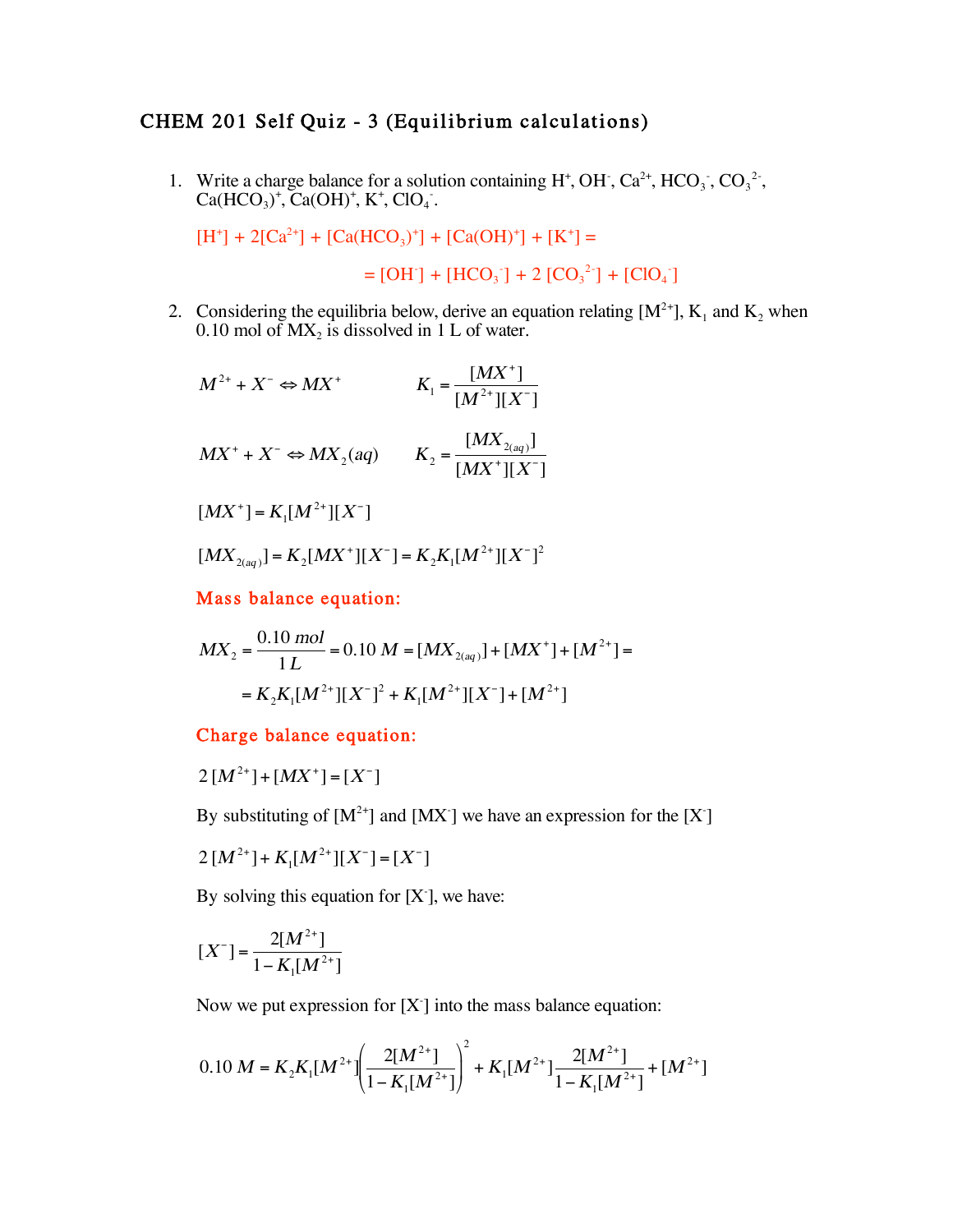## CHEM 201 Self Quiz - 3 (Equilibrium calculations)

1. Write a charge balance for a solution containing  $H^+$ , OH<sup>-</sup>, Ca<sup>2+</sup>, HCO<sub>3</sub><sup>-</sup>, Ca(HCO<sub>3</sub>)<sup>+</sup>, Ca(OH)<sup>+</sup>, K<sup>+</sup>, ClO<sub>4</sub><sup>-</sup>.  $^+$ , Ca(OH)<sup>+</sup>, K<sup>+</sup>, ClO<sub>4</sub>.

 $[H^+]$  + 2[Ca<sup>2+</sup>] + [Ca(HCO<sub>3</sub>)<sup>+</sup>] + [Ca(OH)<sup>+</sup>] + [K<sup>+</sup>] =

 $=[OH^-] + [HCO_3^-] + 2 [CO_3^{2}] + [ClO_4^-]$ 

2. Considering the equilibria below, derive an equation relating  $[M^{2+}]$ ,  $K_1$  and  $K_2$  when 0.10 mol of  $MX_2$  is dissolved in 1 L of water.

$$
M^{2+} + X^{-} \Leftrightarrow MX^{+} \qquad K_{1} = \frac{[MX^{+}]}{[M^{2+}][X^{-}]}
$$
  

$$
MX^{+} + X^{-} \Leftrightarrow MX_{2}(aq) \qquad K_{2} = \frac{[MX_{2(aq)}]}{[MX^{+}][X^{-}]}
$$

 $[MX^+] = K_1[M^{2+}][X^-]$ 

 $[MX_{2(aq)}] = K_{2}[MX^{+}][X^{-}] = K_{2}K_{1}[M^{2+}][X^{-}]^{2}$ 

Mass balance equation:

$$
MX_2 = \frac{0.10 \text{ mol}}{1 \text{ L}} = 0.10 \text{ M} = [MX_{2(aq)}] + [MX^+] + [M^{2+}] =
$$
  
=  $K_2K_1[M^{2+}][X^-]^2 + K_1[M^{2+}][X^-] + [M^{2+}]$ 

## Charge balance equation:

$$
2[M^{2+}] + [MX^+] = [X^-]
$$

By substituting of  $[M^{2+}]$  and  $[MX^-]$  we have an expression for the  $[X]$ 

$$
2\,[M^{2+}] + K_1[M^{2+}][X^-] = [X^-]
$$

By solving this equation for  $[X]$ , we have:

$$
[X^-] = \frac{2[M^{2+}]}{1 - K_1[M^{2+}]}
$$

Now we put expression for  $[X]$  into the mass balance equation:

$$
0.10 M = K_2 K_1 [M^{2+}] \left( \frac{2[M^{2+}]}{1 - K_1 [M^{2+}]}\right)^2 + K_1 [M^{2+}] \frac{2[M^{2+}]}{1 - K_1 [M^{2+}]} + [M^{2+}]
$$